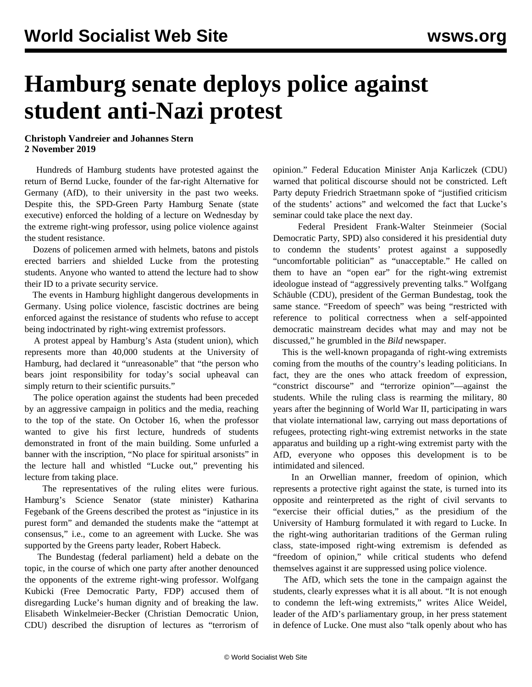## **Hamburg senate deploys police against student anti-Nazi protest**

## **Christoph Vandreier and Johannes Stern 2 November 2019**

 Hundreds of Hamburg students have protested against the return of Bernd Lucke, founder of the far-right Alternative for Germany (AfD), to their university in the past two weeks. Despite this, the SPD-Green Party Hamburg Senate (state executive) enforced the holding of a lecture on Wednesday by the extreme right-wing professor, using police violence against the student resistance.

 Dozens of policemen armed with helmets, batons and pistols erected barriers and shielded Lucke from the protesting students. Anyone who wanted to attend the lecture had to show their ID to a private security service.

 The events in Hamburg highlight dangerous developments in Germany. Using police violence, fascistic doctrines are being enforced against the resistance of students who refuse to accept being indoctrinated by right-wing extremist professors.

 A protest appeal by Hamburg's Asta (student union), which represents more than 40,000 students at the University of Hamburg, had declared it "unreasonable" that "the person who bears joint responsibility for today's social upheaval can simply return to their scientific pursuits."

 The police operation against the students had been preceded by an aggressive campaign in politics and the media, reaching to the top of the state. On October 16, when the professor wanted to give his first lecture, hundreds of students demonstrated in front of the main building. Some unfurled a banner with the inscription, "No place for spiritual arsonists" in the lecture hall and whistled "Lucke out," preventing his lecture from taking place.

 The representatives of the ruling elites were furious. Hamburg's Science Senator (state minister) Katharina Fegebank of the Greens described the protest as "injustice in its purest form" and demanded the students make the "attempt at consensus," i.e., come to an agreement with Lucke. She was supported by the Greens party leader, Robert Habeck.

 The Bundestag (federal parliament) held a debate on the topic, in the course of which one party after another denounced the opponents of the extreme right-wing professor. Wolfgang Kubicki (Free Democratic Party, FDP) accused them of disregarding Lucke's human dignity and of breaking the law. Elisabeth Winkelmeier-Becker (Christian Democratic Union, CDU) described the disruption of lectures as "terrorism of

opinion." Federal Education Minister Anja Karliczek (CDU) warned that political discourse should not be constricted. Left Party deputy Friedrich Straetmann spoke of "justified criticism of the students' actions" and welcomed the fact that Lucke's seminar could take place the next day.

 Federal President Frank-Walter Steinmeier (Social Democratic Party, SPD) also considered it his presidential duty to condemn the students' protest against a supposedly "uncomfortable politician" as "unacceptable." He called on them to have an "open ear" for the right-wing extremist ideologue instead of "aggressively preventing talks." Wolfgang Schäuble (CDU), president of the German Bundestag, took the same stance. "Freedom of speech" was being "restricted with reference to political correctness when a self-appointed democratic mainstream decides what may and may not be discussed," he grumbled in the *Bild* newspaper.

 This is the well-known propaganda of right-wing extremists coming from the mouths of the country's leading politicians. In fact, they are the ones who attack freedom of expression, "constrict discourse" and "terrorize opinion"—against the students. While the ruling class is rearming the military, 80 years after the beginning of World War II, participating in wars that violate international law, carrying out mass deportations of refugees, protecting right-wing extremist networks in the state apparatus and building up a right-wing extremist party with the AfD, everyone who opposes this development is to be intimidated and silenced.

 In an Orwellian manner, freedom of opinion, which represents a protective right against the state, is turned into its opposite and reinterpreted as the right of civil servants to "exercise their official duties," as the presidium of the University of Hamburg formulated it with regard to Lucke. In the right-wing authoritarian traditions of the German ruling class, state-imposed right-wing extremism is defended as "freedom of opinion," while critical students who defend themselves against it are suppressed using police violence.

 The AfD, which sets the tone in the campaign against the students, clearly expresses what it is all about. "It is not enough to condemn the left-wing extremists," writes Alice Weidel, leader of the AfD's parliamentary group, in her press statement in defence of Lucke. One must also "talk openly about who has